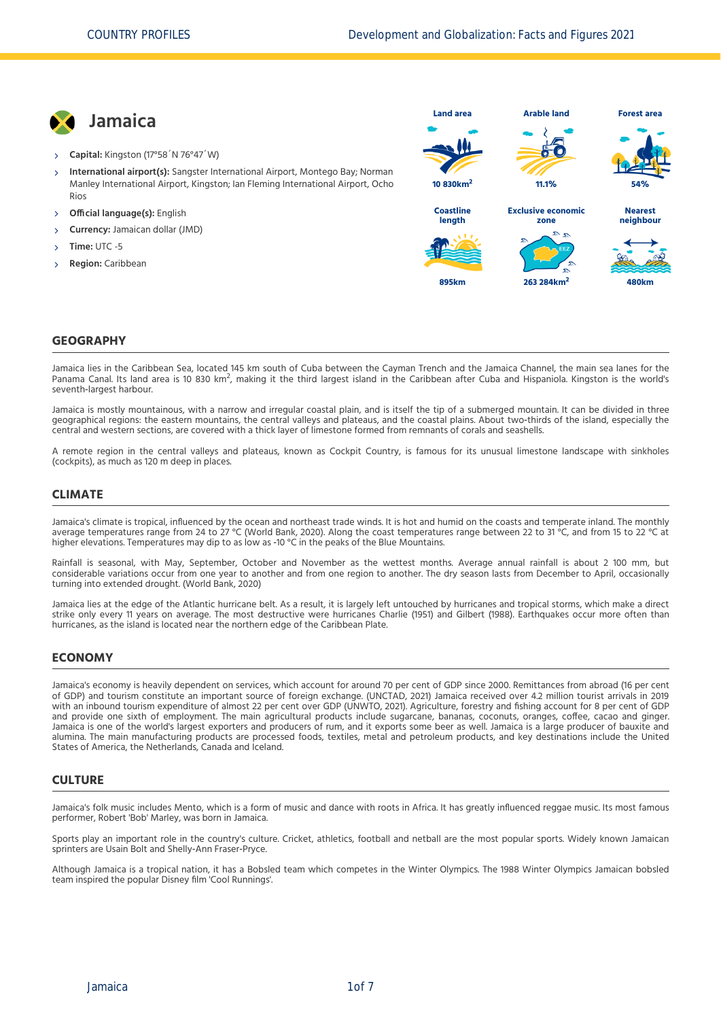

- **Capital:** Kingston (17°58´N 76°47´W)
- **International airport(s):** Sangster International Airport, Montego Bay; Norman Manley International Airport, Kingston; Ian Fleming International Airport, Ocho Rios X,
- **Official language(s):** English
- **Currency:** Jamaican dollar (JMD)
- **Time:** UTC -5
- **Region:** Caribbean



#### **GEOGRAPHY**

Jamaica lies in the Caribbean Sea, located 145 km south of Cuba between the Cayman Trench and the Jamaica Channel, the main sea lanes for the Panama Canal. Its land area is 10 830 km<sup>2</sup>, making it the third largest island in the Caribbean after Cuba and Hispaniola. Kingston is the world's<br>Panama Canal. Its land area is 10 830 km<sup>2</sup>, making it the third largest i seventh‐largest harbour.

Jamaica is mostly mountainous, with a narrow and irregular coastal plain, and is itself the tip of a submerged mountain. It can be divided in three geographical regions: the eastern mountains, the central valleys and plateaus, and the coastal plains. About two-thirds of the island, especially the central and western sections, are covered with a thick layer of limestone formed from remnants of corals and seashells.

A remote region in the central valleys and plateaus, known as Cockpit Country, is famous for its unusual limestone landscape with sinkholes (cockpits), as much as 120 m deep in places.

#### **CLIMATE**

Jamaica's climate is tropical, influenced by the ocean and northeast trade winds. It is hot and humid on the coasts and temperate inland. The monthly average temperatures range from 24 to 27 °C [\(World Bank, 2020\)](#page-6-0). Along the coast temperatures range between 22 to 31 °C, and from 15 to 22 °C at higher elevations. Temperatures may dip to as low as -10 °C in the peaks of the Blue Mountains.

Rainfall is seasonal, with May, September, October and November as the wettest months. Average annual rainfall is about 2 100 mm, but considerable variations occur from one year to another and from one region to another. The dry season lasts from December to April, occasionally turning into extended drought. [\(World Bank, 2020\)](#page-6-0)

Jamaica lies at the edge of the Atlantic hurricane belt. As a result, it is largely left untouched by hurricanes and tropical storms, which make a direct strike only every 11 years on average. The most destructive were hurricanes Charlie (1951) and Gilbert (1988). Earthquakes occur more often than hurricanes, as the island is located near the northern edge of the Caribbean Plate.

#### **ECONOMY**

Jamaica's economy is heavily dependent on services, which account for around 70 per cent of GDP since 2000. Remittances from abroad (16 per cent of GDP) and tourism constitute an important source of foreign exchange. [\(UNCTAD, 2021\)](#page-6-1) Jamaica received over 4.2 million tourist arrivals in 2019 with an inbound tourism expenditure of almost 22 per cent over GDP [\(UNWTO, 2021\)](#page-6-2). Agriculture, forestry and fishing account for 8 per cent of GDP and provide one sixth of employment. The main agricultural products include sugarcane, bananas, coconuts, oranges, coffee, cacao and ginger. Jamaica is one of the world's largest exporters and producers of rum, and it exports some beer as well. Jamaica is a large producer of bauxite and alumina. The main manufacturing products are processed foods, textiles, metal and petroleum products, and key destinations include the United States of America, the Netherlands, Canada and Iceland.

#### **CULTURE**

Jamaica's folk music includes Mento, which is a form of music and dance with roots in Africa. It has greatly influenced reggae music. Its most famous performer, Robert 'Bob' Marley, was born in Jamaica.

Sports play an important role in the country's culture. Cricket, athletics, football and netball are the most popular sports. Widely known Jamaican sprinters are Usain Bolt and Shelly‐Ann Fraser‐Pryce.

Although Jamaica is a tropical nation, it has a Bobsled team which competes in the Winter Olympics. The 1988 Winter Olympics Jamaican bobsled team inspired the popular Disney film 'Cool Runnings'.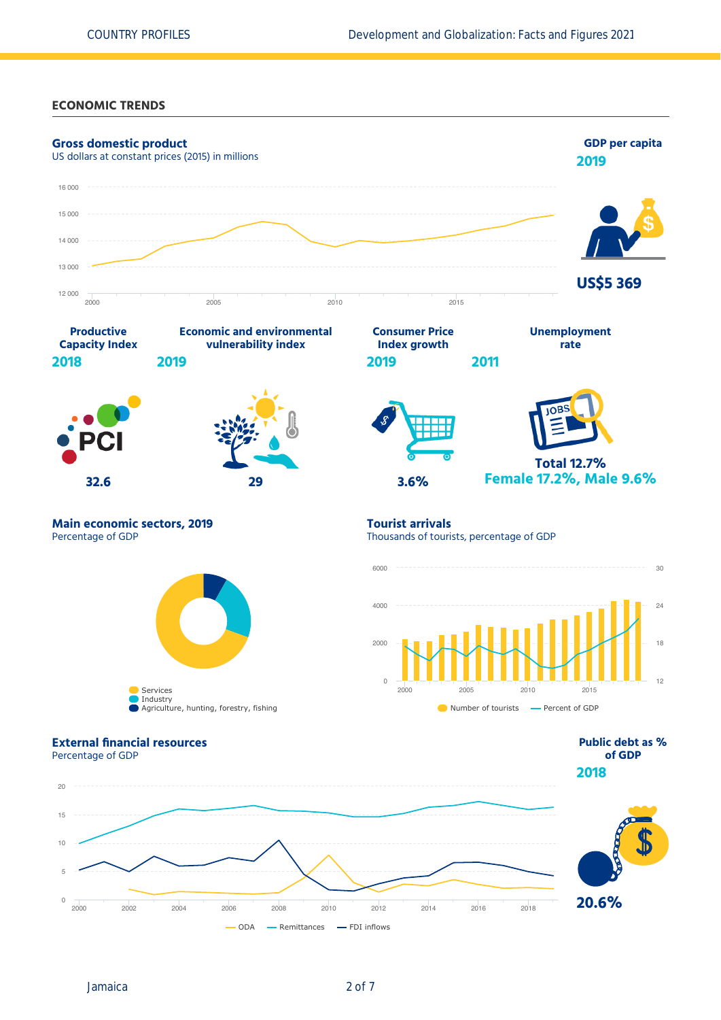#### **ECONOMIC TRENDS**



Jamaica 2 of 7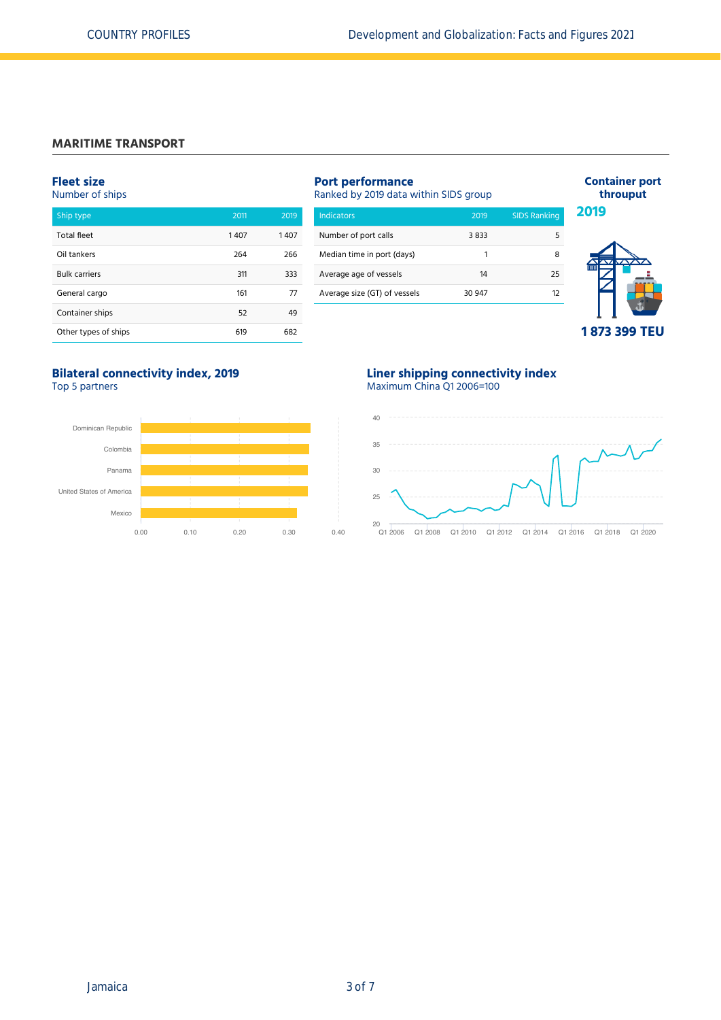## **MARITIME TRANSPORT**

## **Fleet size**

Number of ships

| Ship type            | 2011 | 2019 |
|----------------------|------|------|
| <b>Total fleet</b>   | 1407 | 1407 |
| Oil tankers          | 264  | 266  |
| <b>Bulk carriers</b> | 311  | 333  |
| General cargo        | 161  | 77   |
| Container ships      | 52   | 49   |
| Other types of ships | 619  | 682  |

| <b>Port performance</b><br>Ranked by 2019 data within SIDS group | <b>Container port</b><br>throuput |                     |      |
|------------------------------------------------------------------|-----------------------------------|---------------------|------|
| <b>Indicators</b>                                                | 2019                              | <b>SIDS Ranking</b> | 2019 |
| Number of port calls                                             | 3833                              | 5                   |      |
| Median time in port (days)                                       |                                   | 8                   |      |
| Average age of vessels                                           | 14                                | 25                  |      |
| Average size (GT) of vessels                                     | 30 947                            | 12                  |      |
|                                                                  |                                   |                     |      |



**Bilateral connectivity index, 2019** Top 5 partners



### **Liner shipping connectivity index** Maximum China Q1 2006=100

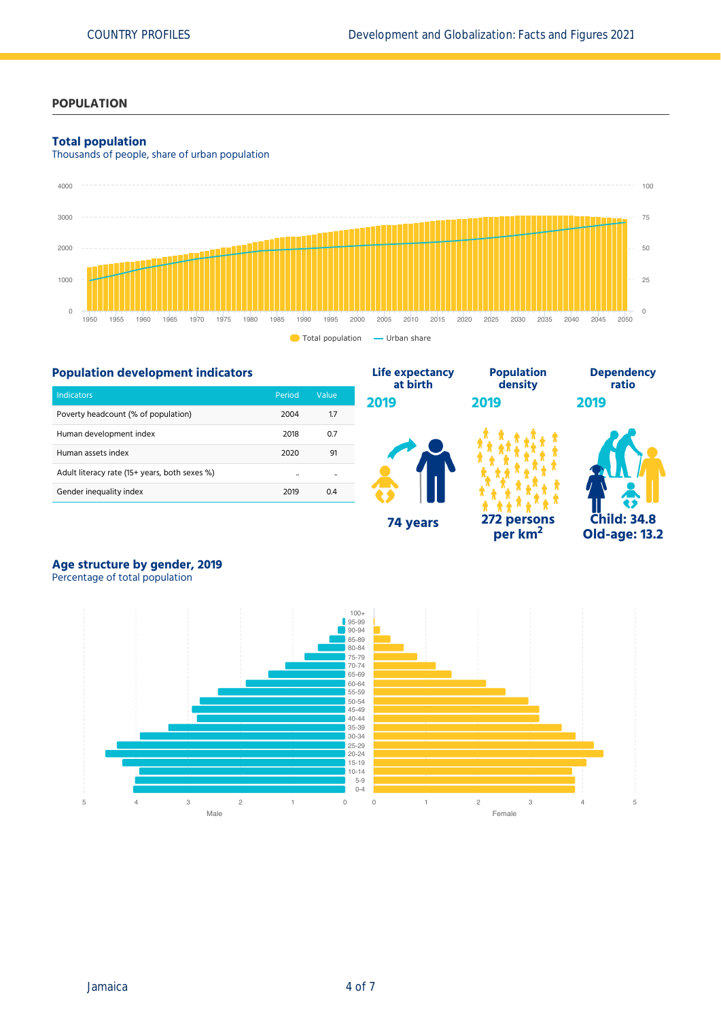## **POPULATION**

#### **Total population**

Thousands of people, share of urban population



## **Population development indicators**

| <b>Indicators</b>                             | Period           | Value |
|-----------------------------------------------|------------------|-------|
| Poverty headcount (% of population)           | 2004             | 1.7   |
| Human development index                       | 2018             | 0.7   |
| Human assets index                            | 2020             | 91    |
| Adult literacy rate (15+ years, both sexes %) | $\bullet\bullet$ |       |
| Gender inequality index                       | 2019             | 04    |



**per km<sup>2</sup>**



# **Age structure by gender, 2019**

Percentage of total population

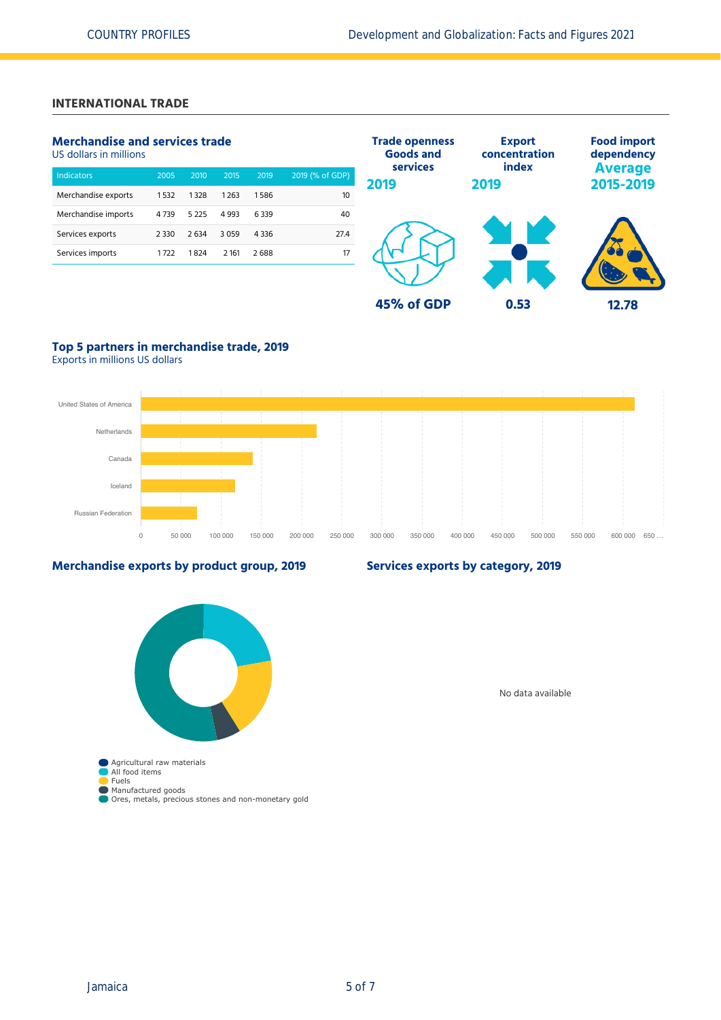## **INTERNATIONAL TRADE**

## **Merchandise and services trade**

US dollars in millions

| <b>Indicators</b>   | 2005    | 2010    | 2015    | 2019    | 2019 (% of GDP) |
|---------------------|---------|---------|---------|---------|-----------------|
| Merchandise exports | 1532    | 1328    | 1263    | 1586    | 10              |
| Merchandise imports | 4739    | 5 2 2 5 | 4 9 9 3 | 6339    | 40              |
| Services exports    | 2 3 3 0 | 2634    | 3059    | 4 3 3 6 | 27.4            |
| Services imports    | 1722    | 1824    | 2 1 6 1 | 2688    | 17              |
|                     |         |         |         |         |                 |



## **Top 5 partners in merchandise trade, 2019**

Exports in millions US dollars



#### **Merchandise exports by product group, 2019**

## **Services exports by category, 2019**



No data available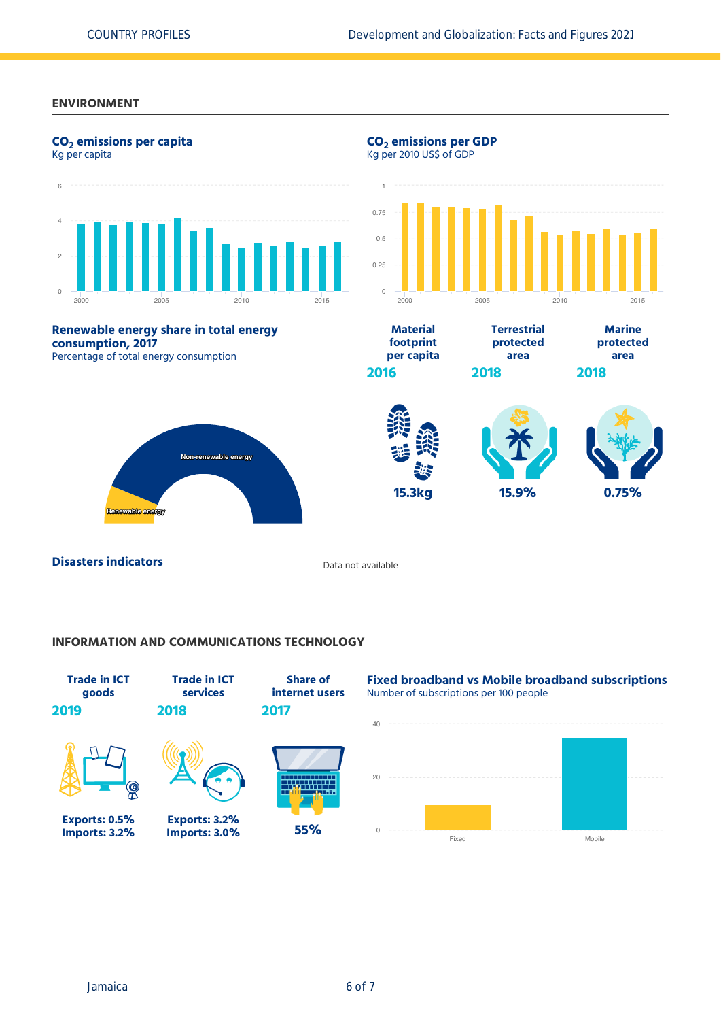#### **ENVIRONMENT**



## **INFORMATION AND COMMUNICATIONS TECHNOLOGY**